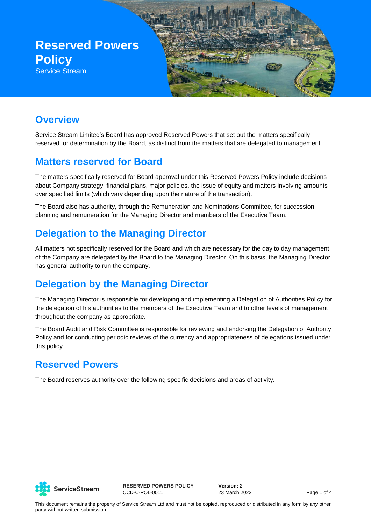

### **Overview**

Service Stream Limited's Board has approved Reserved Powers that set out the matters specifically reserved for determination by the Board, as distinct from the matters that are delegated to management.

#### **Matters reserved for Board**

The matters specifically reserved for Board approval under this Reserved Powers Policy include decisions about Company strategy, financial plans, major policies, the issue of equity and matters involving amounts over specified limits (which vary depending upon the nature of the transaction).

The Board also has authority, through the Remuneration and Nominations Committee, for succession planning and remuneration for the Managing Director and members of the Executive Team.

### **Delegation to the Managing Director**

All matters not specifically reserved for the Board and which are necessary for the day to day management of the Company are delegated by the Board to the Managing Director. On this basis, the Managing Director has general authority to run the company.

## **Delegation by the Managing Director**

The Managing Director is responsible for developing and implementing a Delegation of Authorities Policy for the delegation of his authorities to the members of the Executive Team and to other levels of management throughout the company as appropriate.

The Board Audit and Risk Committee is responsible for reviewing and endorsing the Delegation of Authority Policy and for conducting periodic reviews of the currency and appropriateness of delegations issued under this policy.

#### **Reserved Powers**

The Board reserves authority over the following specific decisions and areas of activity.



**RESERVED POWERS POLICY** CCD-C-POL-0011

**Version:** 2 23 March 2022 Page 1 of 4

This document remains the property of Service Stream Ltd and must not be copied, reproduced or distributed in any form by any other party without written submission.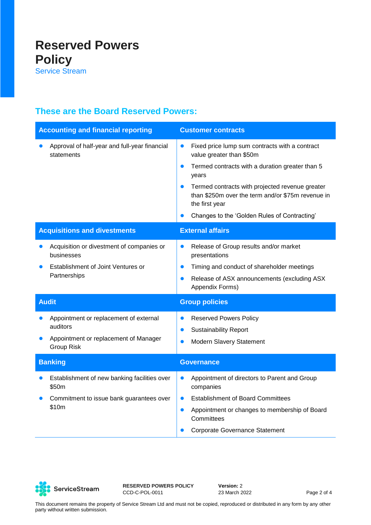#### **These are the Board Reserved Powers:**

| <b>Accounting and financial reporting</b> |                                                                                                                  | <b>Customer contracts</b>                                                                                                                                                                                                                                                                                                                               |
|-------------------------------------------|------------------------------------------------------------------------------------------------------------------|---------------------------------------------------------------------------------------------------------------------------------------------------------------------------------------------------------------------------------------------------------------------------------------------------------------------------------------------------------|
|                                           | Approval of half-year and full-year financial<br>statements                                                      | Fixed price lump sum contracts with a contract<br>$\bullet$<br>value greater than \$50m<br>Termed contracts with a duration greater than 5<br>$\bullet$<br>years<br>Termed contracts with projected revenue greater<br>$\bullet$<br>than \$250m over the term and/or \$75m revenue in<br>the first year<br>Changes to the 'Golden Rules of Contracting' |
| <b>Acquisitions and divestments</b>       |                                                                                                                  | <b>External affairs</b>                                                                                                                                                                                                                                                                                                                                 |
|                                           | Acquisition or divestment of companies or<br>businesses<br>Establishment of Joint Ventures or<br>Partnerships    | Release of Group results and/or market<br>$\bullet$<br>presentations<br>Timing and conduct of shareholder meetings<br>$\bullet$<br>Release of ASX announcements (excluding ASX<br>$\bullet$<br>Appendix Forms)                                                                                                                                          |
| <b>Audit</b>                              |                                                                                                                  | <b>Group policies</b>                                                                                                                                                                                                                                                                                                                                   |
|                                           | Appointment or replacement of external<br>auditors<br>Appointment or replacement of Manager<br><b>Group Risk</b> | <b>Reserved Powers Policy</b><br>$\bullet$<br><b>Sustainability Report</b><br>$\bullet$<br>Modern Slavery Statement<br>$\bullet$                                                                                                                                                                                                                        |
| <b>Banking</b>                            |                                                                                                                  | <b>Governance</b>                                                                                                                                                                                                                                                                                                                                       |
|                                           | Establishment of new banking facilities over<br>\$50m<br>Commitment to issue bank guarantees over<br>\$10m       | Appointment of directors to Parent and Group<br>$\bullet$<br>companies<br><b>Establishment of Board Committees</b><br>$\bullet$<br>Appointment or changes to membership of Board<br>$\bullet$<br>Committees<br><b>Corporate Governance Statement</b>                                                                                                    |



**RESERVED POWERS POLICY** CCD-C-POL-0011

**Version:** 2 23 March 2022 Page 2 of 4

This document remains the property of Service Stream Ltd and must not be copied, reproduced or distributed in any form by any other party without written submission.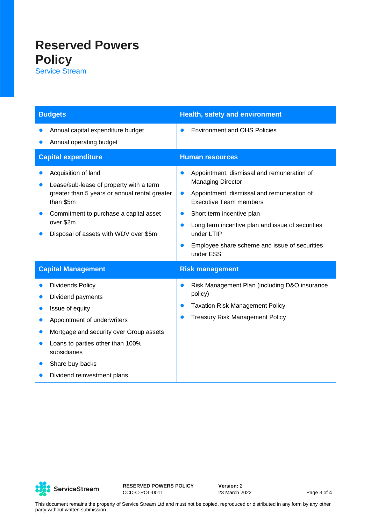# **Reserved Powers Policy**

Service Stream

| <b>Budgets</b>                                                                                                                                                                                                                                  | <b>Health, safety and environment</b>                                                                                                                                                                                                                                                                                                                                               |
|-------------------------------------------------------------------------------------------------------------------------------------------------------------------------------------------------------------------------------------------------|-------------------------------------------------------------------------------------------------------------------------------------------------------------------------------------------------------------------------------------------------------------------------------------------------------------------------------------------------------------------------------------|
| Annual capital expenditure budget<br>Annual operating budget                                                                                                                                                                                    | <b>Environment and OHS Policies</b><br>$\bullet$                                                                                                                                                                                                                                                                                                                                    |
| <b>Capital expenditure</b>                                                                                                                                                                                                                      | <b>Human resources</b>                                                                                                                                                                                                                                                                                                                                                              |
| Acquisition of land<br>Lease/sub-lease of property with a term<br>greater than 5 years or annual rental greater<br>than \$5m<br>Commitment to purchase a capital asset<br>over \$2m<br>Disposal of assets with WDV over \$5m                    | Appointment, dismissal and remuneration of<br>$\bullet$<br><b>Managing Director</b><br>Appointment, dismissal and remuneration of<br>$\bullet$<br><b>Executive Team members</b><br>Short term incentive plan<br>$\bullet$<br>Long term incentive plan and issue of securities<br>$\bullet$<br>under LTIP<br>Employee share scheme and issue of securities<br>$\bullet$<br>under ESS |
| <b>Capital Management</b>                                                                                                                                                                                                                       | <b>Risk management</b>                                                                                                                                                                                                                                                                                                                                                              |
| <b>Dividends Policy</b><br>Dividend payments<br>Issue of equity<br>Appointment of underwriters<br>Mortgage and security over Group assets<br>Loans to parties other than 100%<br>subsidiaries<br>Share buy-backs<br>Dividend reinvestment plans | Risk Management Plan (including D&O insurance<br>$\bullet$<br>policy)<br><b>Taxation Risk Management Policy</b><br>$\bullet$<br><b>Treasury Risk Management Policy</b><br>$\bullet$                                                                                                                                                                                                 |



**RESERVED POWERS POLICY** CCD-C-POL-0011

**Version:** 2 23 March 2022 Page 3 of 4